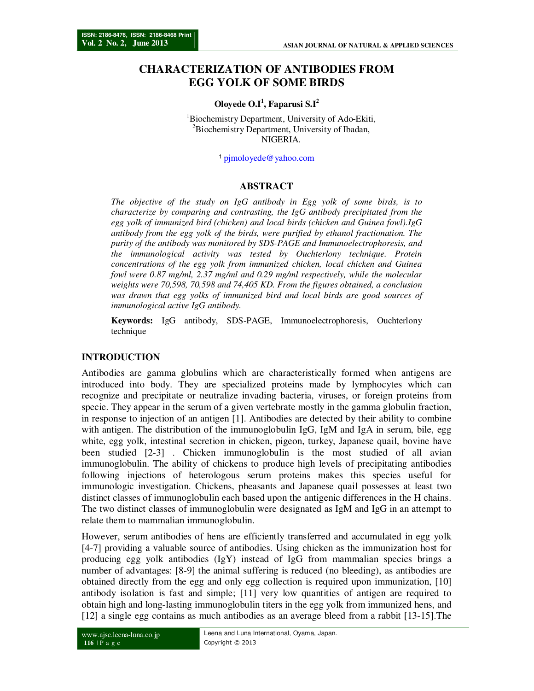# **CHARACTERIZATION OF ANTIBODIES FROM EGG YOLK OF SOME BIRDS**

#### **Oloyede O.I<sup>1</sup> , Faparusi S.I<sup>2</sup>**

<sup>1</sup>Biochemistry Department, University of Ado-Ekiti, <sup>2</sup>Biochemistry Department, University of Ibadan, NIGERIA.

<sup>1</sup>pjmoloyede@yahoo.com

#### **ABSTRACT**

*The objective of the study on IgG antibody in Egg yolk of some birds, is to characterize by comparing and contrasting, the IgG antibody precipitated from the egg yolk of immunized bird (chicken) and local birds (chicken and Guinea fowl).IgG antibody from the egg yolk of the birds, were purified by ethanol fractionation. The purity of the antibody was monitored by SDS-PAGE and Immunoelectrophoresis, and the immunological activity was tested by Ouchterlony technique. Protein concentrations of the egg yolk from immunized chicken, local chicken and Guinea fowl were 0.87 mg/ml, 2.37 mg/ml and 0.29 mg/ml respectively, while the molecular weights were 70,598, 70,598 and 74,405 KD. From the figures obtained, a conclusion was drawn that egg yolks of immunized bird and local birds are good sources of immunological active IgG antibody.* 

**Keywords:** IgG antibody, SDS-PAGE, Immunoelectrophoresis, Ouchterlony technique

#### **INTRODUCTION**

Antibodies are gamma globulins which are characteristically formed when antigens are introduced into body. They are specialized proteins made by lymphocytes which can recognize and precipitate or neutralize invading bacteria, viruses, or foreign proteins from specie. They appear in the serum of a given vertebrate mostly in the gamma globulin fraction, in response to injection of an antigen [1]. Antibodies are detected by their ability to combine with antigen. The distribution of the immunoglobulin IgG, IgM and IgA in serum, bile, egg white, egg yolk, intestinal secretion in chicken, pigeon, turkey, Japanese quail, bovine have been studied [2-3] . Chicken immunoglobulin is the most studied of all avian immunoglobulin. The ability of chickens to produce high levels of precipitating antibodies following injections of heterologous serum proteins makes this species useful for immunologic investigation. Chickens, pheasants and Japanese quail possesses at least two distinct classes of immunoglobulin each based upon the antigenic differences in the H chains. The two distinct classes of immunoglobulin were designated as IgM and IgG in an attempt to relate them to mammalian immunoglobulin.

However, serum antibodies of hens are efficiently transferred and accumulated in egg yolk [4-7] providing a valuable source of antibodies. Using chicken as the immunization host for producing egg yolk antibodies (IgY) instead of IgG from mammalian species brings a number of advantages: [8-9] the animal suffering is reduced (no bleeding), as antibodies are obtained directly from the egg and only egg collection is required upon immunization, [10] antibody isolation is fast and simple; [11] very low quantities of antigen are required to obtain high and long-lasting immunoglobulin titers in the egg yolk from immunized hens, and [12] a single egg contains as much antibodies as an average bleed from a rabbit [13-15].The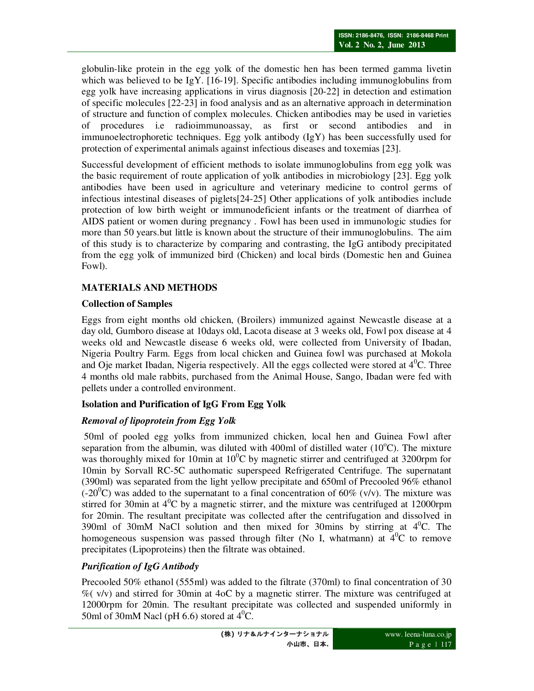globulin-like protein in the egg yolk of the domestic hen has been termed gamma livetin which was believed to be IgY. [16-19]. Specific antibodies including immunoglobulins from egg yolk have increasing applications in virus diagnosis [20-22] in detection and estimation of specific molecules [22-23] in food analysis and as an alternative approach in determination of structure and function of complex molecules. Chicken antibodies may be used in varieties of procedures i.e radioimmunoassay, as first or second antibodies and in immunoelectrophoretic techniques. Egg yolk antibody (IgY) has been successfully used for protection of experimental animals against infectious diseases and toxemias [23].

Successful development of efficient methods to isolate immunoglobulins from egg yolk was the basic requirement of route application of yolk antibodies in microbiology [23]. Egg yolk antibodies have been used in agriculture and veterinary medicine to control germs of infectious intestinal diseases of piglets[24-25] Other applications of yolk antibodies include protection of low birth weight or immunodeficient infants or the treatment of diarrhea of AIDS patient or women during pregnancy . Fowl has been used in immunologic studies for more than 50 years.but little is known about the structure of their immunoglobulins. The aim of this study is to characterize by comparing and contrasting, the IgG antibody precipitated from the egg yolk of immunized bird (Chicken) and local birds (Domestic hen and Guinea Fowl).

# **MATERIALS AND METHODS**

#### **Collection of Samples**

Eggs from eight months old chicken, (Broilers) immunized against Newcastle disease at a day old, Gumboro disease at 10days old, Lacota disease at 3 weeks old, Fowl pox disease at 4 weeks old and Newcastle disease 6 weeks old, were collected from University of Ibadan, Nigeria Poultry Farm. Eggs from local chicken and Guinea fowl was purchased at Mokola and Oje market Ibadan, Nigeria respectively. All the eggs collected were stored at  $4^{\circ}$ C. Three 4 months old male rabbits, purchased from the Animal House, Sango, Ibadan were fed with pellets under a controlled environment.

## **Isolation and Purification of IgG From Egg Yolk**

## *Removal of lipoprotein from Egg Yolk*

 50ml of pooled egg yolks from immunized chicken, local hen and Guinea Fowl after separation from the albumin, was diluted with 400ml of distilled water  $(10^{\circ}C)$ . The mixture was thoroughly mixed for 10min at  $10^{\circ}$ C by magnetic stirrer and centrifuged at 3200rpm for 10min by Sorvall RC-5C authomatic superspeed Refrigerated Centrifuge. The supernatant (390ml) was separated from the light yellow precipitate and 650ml of Precooled 96% ethanol  $(-20^{\circ}\text{C})$  was added to the supernatant to a final concentration of 60% (v/v). The mixture was stirred for 30min at  $4^{\circ}$ C by a magnetic stirrer, and the mixture was centrifuged at 12000rpm for 20min. The resultant precipitate was collected after the centrifugation and dissolved in 390ml of 30mM NaCl solution and then mixed for 30mins by stirring at  $4^{\circ}$ C. The homogeneous suspension was passed through filter (No I, whatmann) at  $4^{0}C$  to remove precipitates (Lipoproteins) then the filtrate was obtained.

## *Purification of IgG Antibody*

Precooled 50% ethanol (555ml) was added to the filtrate (370ml) to final concentration of 30  $\%$  ( v/v) and stirred for 30min at 4oC by a magnetic stirrer. The mixture was centrifuged at 12000rpm for 20min. The resultant precipitate was collected and suspended uniformly in 50ml of 30mM Nacl (pH 6.6) stored at  $4^{\circ}$ C.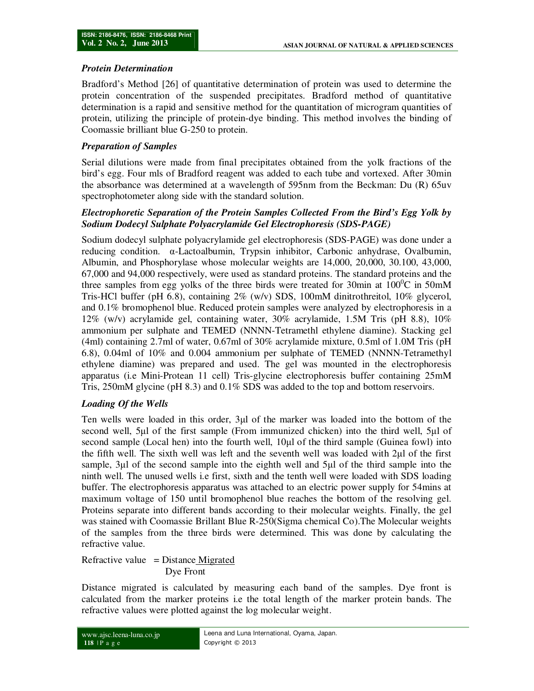#### *Protein Determination*

Bradford's Method [26] of quantitative determination of protein was used to determine the protein concentration of the suspended precipitates. Bradford method of quantitative determination is a rapid and sensitive method for the quantitation of microgram quantities of protein, utilizing the principle of protein-dye binding. This method involves the binding of Coomassie brilliant blue G-250 to protein.

### *Preparation of Samples*

Serial dilutions were made from final precipitates obtained from the yolk fractions of the bird's egg. Four mls of Bradford reagent was added to each tube and vortexed. After 30min the absorbance was determined at a wavelength of 595nm from the Beckman: Du (R) 65uv spectrophotometer along side with the standard solution.

### *Electrophoretic Separation of the Protein Samples Collected From the Bird's Egg Yolk by Sodium Dodecyl Sulphate Polyacrylamide Gel Electrophoresis (SDS-PAGE)*

Sodium dodecyl sulphate polyacrylamide gel electrophoresis (SDS-PAGE) was done under a reducing condition. α-Lactoalbumin, Trypsin inhibitor, Carbonic anhydrase, Ovalbumin, Albumin, and Phosphorylase whose molecular weights are 14,000, 20,000, 30.100, 43,000, 67,000 and 94,000 respectively, were used as standard proteins. The standard proteins and the three samples from egg yolks of the three birds were treated for 30min at  $100^{\circ}$ C in 50mM Tris-HCl buffer (pH 6.8), containing 2% (w/v) SDS, 100mM dinitrothreitol, 10% glycerol, and 0.1% bromophenol blue. Reduced protein samples were analyzed by electrophoresis in a 12% (w/v) acrylamide gel, containing water, 30% acrylamide, 1.5M Tris (pH 8.8), 10% ammonium per sulphate and TEMED (NNNN-Tetramethl ethylene diamine). Stacking gel (4ml) containing 2.7ml of water, 0.67ml of 30% acrylamide mixture, 0.5ml of 1.0M Tris (pH 6.8), 0.04ml of 10% and 0.004 ammonium per sulphate of TEMED (NNNN-Tetramethyl ethylene diamine) was prepared and used. The gel was mounted in the electrophoresis apparatus (i.e Mini-Protean 11 cell) Tris-glycine electrophoresis buffer containing 25mM Tris, 250mM glycine (pH 8.3) and 0.1% SDS was added to the top and bottom reservoirs.

## *Loading Of the Wells*

Ten wells were loaded in this order, 3µl of the marker was loaded into the bottom of the second well, 5µl of the first sample (From immunized chicken) into the third well, 5µl of second sample (Local hen) into the fourth well, 10µl of the third sample (Guinea fowl) into the fifth well. The sixth well was left and the seventh well was loaded with 2µl of the first sample, 3µl of the second sample into the eighth well and 5µl of the third sample into the ninth well. The unused wells i.e first, sixth and the tenth well were loaded with SDS loading buffer. The electrophoresis apparatus was attached to an electric power supply for 54mins at maximum voltage of 150 until bromophenol blue reaches the bottom of the resolving gel. Proteins separate into different bands according to their molecular weights. Finally, the gel was stained with Coomassie Brillant Blue R-250(Sigma chemical Co).The Molecular weights of the samples from the three birds were determined. This was done by calculating the refractive value.

Refractive value  $=$  Distance Migrated Dye Front

Distance migrated is calculated by measuring each band of the samples. Dye front is calculated from the marker proteins i.e the total length of the marker protein bands. The refractive values were plotted against the log molecular weight.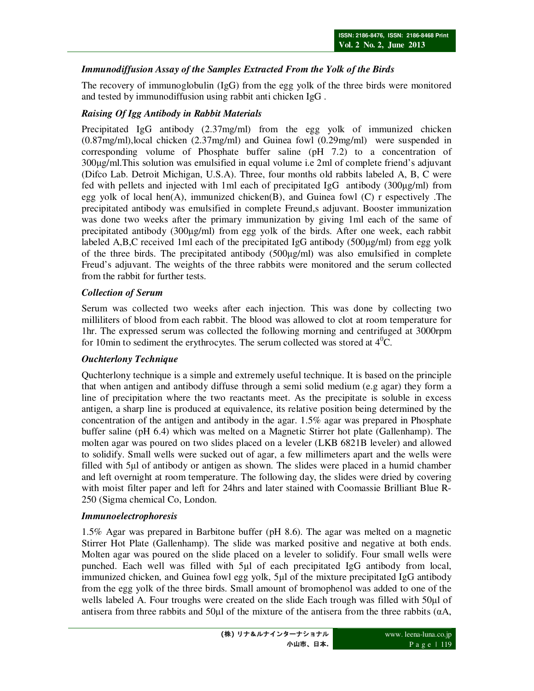# *Immunodiffusion Assay of the Samples Extracted From the Yolk of the Birds*

The recovery of immunoglobulin (IgG) from the egg yolk of the three birds were monitored and tested by immunodiffusion using rabbit anti chicken IgG .

### *Raising Of Igg Antibody in Rabbit Materials*

Precipitated IgG antibody (2.37mg/ml) from the egg yolk of immunized chicken (0.87mg/ml),local chicken (2.37mg/ml) and Guinea fowl (0.29mg/ml) were suspended in corresponding volume of Phosphate buffer saline (pH 7.2) to a concentration of 300µg/ml.This solution was emulsified in equal volume i.e 2ml of complete friend's adjuvant (Difco Lab. Detroit Michigan, U.S.A). Three, four months old rabbits labeled A, B, C were fed with pellets and injected with 1ml each of precipitated IgG antibody (300µg/ml) from egg yolk of local hen(A), immunized chicken(B), and Guinea fowl (C) r espectively .The precipitated antibody was emulsified in complete Freund,s adjuvant. Booster immunization was done two weeks after the primary immunization by giving 1ml each of the same of precipitated antibody (300µg/ml) from egg yolk of the birds. After one week, each rabbit labeled A,B,C received 1ml each of the precipitated IgG antibody (500µg/ml) from egg yolk of the three birds. The precipitated antibody (500µg/ml) was also emulsified in complete Freud's adjuvant. The weights of the three rabbits were monitored and the serum collected from the rabbit for further tests.

#### *Collection of Serum*

Serum was collected two weeks after each injection. This was done by collecting two milliliters of blood from each rabbit. The blood was allowed to clot at room temperature for 1hr. The expressed serum was collected the following morning and centrifuged at 3000rpm for 10min to sediment the erythrocytes. The serum collected was stored at  $4^0C$ .

#### *Ouchterlony Technique*

Quchterlony technique is a simple and extremely useful technique. It is based on the principle that when antigen and antibody diffuse through a semi solid medium (e.g agar) they form a line of precipitation where the two reactants meet. As the precipitate is soluble in excess antigen, a sharp line is produced at equivalence, its relative position being determined by the concentration of the antigen and antibody in the agar. 1.5% agar was prepared in Phosphate buffer saline (pH 6.4) which was melted on a Magnetic Stirrer hot plate (Gallenhamp). The molten agar was poured on two slides placed on a leveler (LKB 6821B leveler) and allowed to solidify. Small wells were sucked out of agar, a few millimeters apart and the wells were filled with 5µl of antibody or antigen as shown. The slides were placed in a humid chamber and left overnight at room temperature. The following day, the slides were dried by covering with moist filter paper and left for 24hrs and later stained with Coomassie Brilliant Blue R-250 (Sigma chemical Co, London.

#### *Immunoelectrophoresis*

1.5% Agar was prepared in Barbitone buffer (pH 8.6). The agar was melted on a magnetic Stirrer Hot Plate (Gallenhamp). The slide was marked positive and negative at both ends. Molten agar was poured on the slide placed on a leveler to solidify. Four small wells were punched. Each well was filled with 5µl of each precipitated IgG antibody from local, immunized chicken, and Guinea fowl egg yolk, 5µl of the mixture precipitated IgG antibody from the egg yolk of the three birds. Small amount of bromophenol was added to one of the wells labeled A. Four troughs were created on the slide Each trough was filled with 50µl of antisera from three rabbits and 50 $\mu$ l of the mixture of the antisera from the three rabbits ( $\alpha$ A,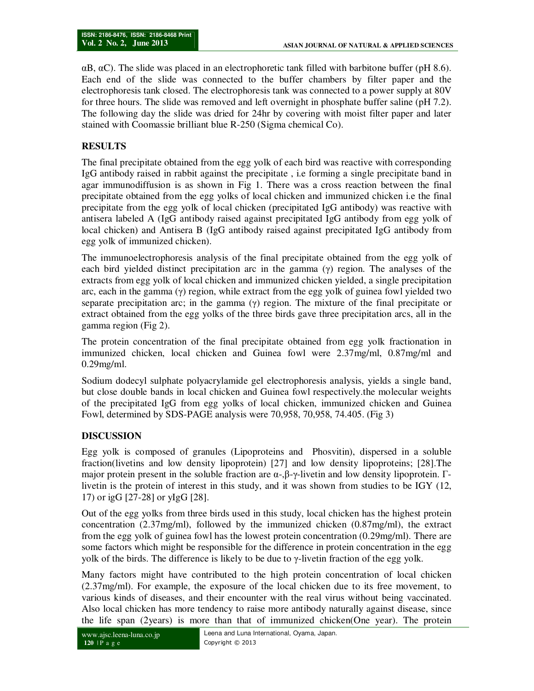$\alpha$ B,  $\alpha$ C). The slide was placed in an electrophoretic tank filled with barbitone buffer (pH 8.6). Each end of the slide was connected to the buffer chambers by filter paper and the electrophoresis tank closed. The electrophoresis tank was connected to a power supply at 80V for three hours. The slide was removed and left overnight in phosphate buffer saline (pH 7.2). The following day the slide was dried for 24hr by covering with moist filter paper and later stained with Coomassie brilliant blue R-250 (Sigma chemical Co).

# **RESULTS**

The final precipitate obtained from the egg yolk of each bird was reactive with corresponding IgG antibody raised in rabbit against the precipitate , i.e forming a single precipitate band in agar immunodiffusion is as shown in Fig 1. There was a cross reaction between the final precipitate obtained from the egg yolks of local chicken and immunized chicken i.e the final precipitate from the egg yolk of local chicken (precipitated IgG antibody) was reactive with antisera labeled A (IgG antibody raised against precipitated IgG antibody from egg yolk of local chicken) and Antisera B (IgG antibody raised against precipitated IgG antibody from egg yolk of immunized chicken).

The immunoelectrophoresis analysis of the final precipitate obtained from the egg yolk of each bird yielded distinct precipitation arc in the gamma  $(\gamma)$  region. The analyses of the extracts from egg yolk of local chicken and immunized chicken yielded, a single precipitation arc, each in the gamma  $(\gamma)$  region, while extract from the egg yolk of guinea fowl yielded two separate precipitation arc; in the gamma  $(\gamma)$  region. The mixture of the final precipitate or extract obtained from the egg yolks of the three birds gave three precipitation arcs, all in the gamma region (Fig 2).

The protein concentration of the final precipitate obtained from egg yolk fractionation in immunized chicken, local chicken and Guinea fowl were 2.37mg/ml, 0.87mg/ml and 0.29mg/ml.

Sodium dodecyl sulphate polyacrylamide gel electrophoresis analysis, yields a single band, but close double bands in local chicken and Guinea fowl respectively.the molecular weights of the precipitated IgG from egg yolks of local chicken, immunized chicken and Guinea Fowl, determined by SDS-PAGE analysis were 70,958, 70,958, 74.405. (Fig 3)

## **DISCUSSION**

Egg yolk is composed of granules (Lipoproteins and Phosvitin), dispersed in a soluble fraction(livetins and low density lipoprotein) [27] and low density lipoproteins; [28].The major protein present in the soluble fraction are  $\alpha$ -,β-γ-livetin and low density lipoprotein. Γlivetin is the protein of interest in this study, and it was shown from studies to be IGY (12, 17) or igG [27-28] or yIgG [28].

Out of the egg yolks from three birds used in this study, local chicken has the highest protein concentration (2.37mg/ml), followed by the immunized chicken (0.87mg/ml), the extract from the egg yolk of guinea fowl has the lowest protein concentration (0.29mg/ml). There are some factors which might be responsible for the difference in protein concentration in the egg yolk of the birds. The difference is likely to be due to  $\gamma$ -livetin fraction of the egg yolk.

Many factors might have contributed to the high protein concentration of local chicken (2.37mg/ml). For example, the exposure of the local chicken due to its free movement, to various kinds of diseases, and their encounter with the real virus without being vaccinated. Also local chicken has more tendency to raise more antibody naturally against disease, since the life span (2years) is more than that of immunized chicken(One year). The protein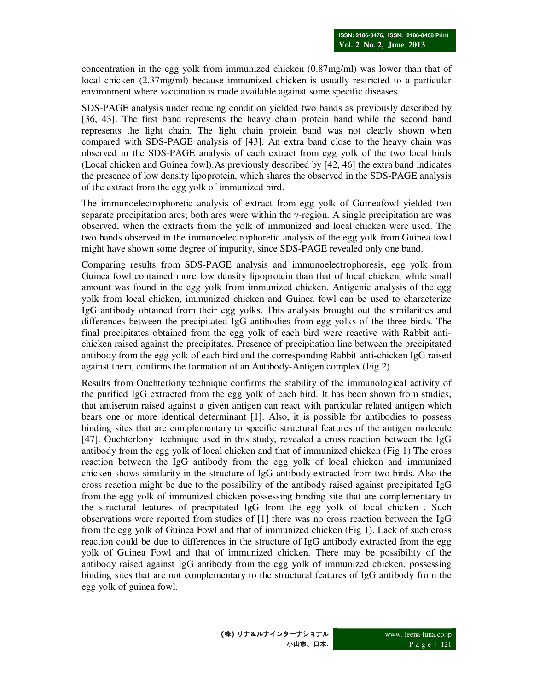concentration in the egg yolk from immunized chicken (0.87mg/ml) was lower than that of local chicken (2.37mg/ml) because immunized chicken is usually restricted to a particular environment where vaccination is made available against some specific diseases.

SDS-PAGE analysis under reducing condition yielded two bands as previously described by [36, 43]. The first band represents the heavy chain protein band while the second band represents the light chain. The light chain protein band was not clearly shown when compared with SDS-PAGE analysis of [43]. An extra band close to the heavy chain was observed in the SDS-PAGE analysis of each extract from egg yolk of the two local birds (Local chicken and Guinea fowl).As previously described by [42, 46] the extra band indicates the presence of low density lipoprotein, which shares the observed in the SDS-PAGE analysis of the extract from the egg yolk of immunized bird.

The immunoelectrophoretic analysis of extract from egg yolk of Guineafowl yielded two separate precipitation arcs; both arcs were within the  $\gamma$ -region. A single precipitation arc was observed, when the extracts from the yolk of immunized and local chicken were used. The two bands observed in the immunoelectrophoretic analysis of the egg yolk from Guinea fowl might have shown some degree of impurity, since SDS-PAGE revealed only one band.

Comparing results from SDS-PAGE analysis and immunoelectrophoresis, egg yolk from Guinea fowl contained more low density lipoprotein than that of local chicken, while small amount was found in the egg yolk from immunized chicken. Antigenic analysis of the egg yolk from local chicken, immunized chicken and Guinea fowl can be used to characterize IgG antibody obtained from their egg yolks. This analysis brought out the similarities and differences between the precipitated IgG antibodies from egg yolks of the three birds. The final precipitates obtained from the egg yolk of each bird were reactive with Rabbit antichicken raised against the precipitates. Presence of precipitation line between the precipitated antibody from the egg yolk of each bird and the corresponding Rabbit anti-chicken IgG raised against them, confirms the formation of an Antibody-Antigen complex (Fig 2).

Results from Ouchterlony technique confirms the stability of the immunological activity of the purified IgG extracted from the egg yolk of each bird. It has been shown from studies, that antiserum raised against a given antigen can react with particular related antigen which bears one or more identical determinant [1]. Also, it is possible for antibodies to possess binding sites that are complementary to specific structural features of the antigen molecule [47]. Ouchterlony technique used in this study, revealed a cross reaction between the IgG antibody from the egg yolk of local chicken and that of immunized chicken (Fig 1).The cross reaction between the IgG antibody from the egg yolk of local chicken and immunized chicken shows similarity in the structure of IgG antibody extracted from two birds. Also the cross reaction might be due to the possibility of the antibody raised against precipitated IgG from the egg yolk of immunized chicken possessing binding site that are complementary to the structural features of precipitated IgG from the egg yolk of local chicken . Such observations were reported from studies of [1] there was no cross reaction between the IgG from the egg yolk of Guinea Fowl and that of immunized chicken (Fig 1). Lack of such cross reaction could be due to differences in the structure of IgG antibody extracted from the egg yolk of Guinea Fowl and that of immunized chicken. There may be possibility of the antibody raised against IgG antibody from the egg yolk of immunized chicken, possessing binding sites that are not complementary to the structural features of IgG antibody from the egg yolk of guinea fowl.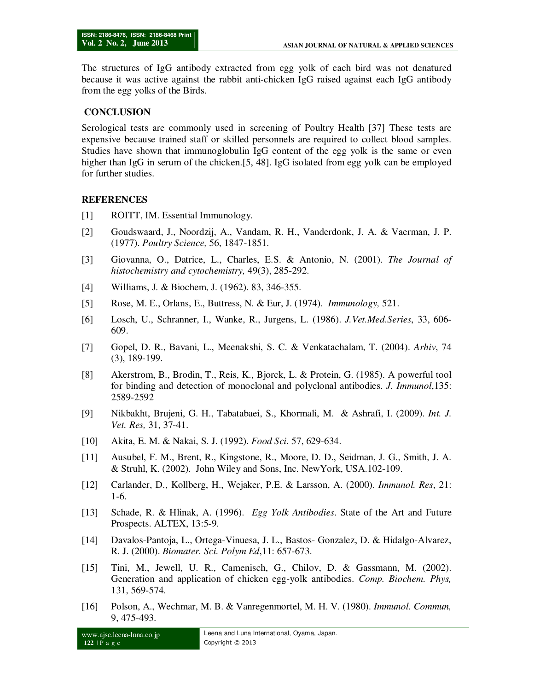The structures of IgG antibody extracted from egg yolk of each bird was not denatured because it was active against the rabbit anti-chicken IgG raised against each IgG antibody from the egg yolks of the Birds.

#### **CONCLUSION**

Serological tests are commonly used in screening of Poultry Health [37] These tests are expensive because trained staff or skilled personnels are required to collect blood samples. Studies have shown that immunoglobulin IgG content of the egg yolk is the same or even higher than IgG in serum of the chicken.[5, 48]. IgG isolated from egg yolk can be employed for further studies.

#### **REFERENCES**

- [1] ROITT, IM. Essential Immunology.
- [2] Goudswaard, J., Noordzij, A., Vandam, R. H., Vanderdonk, J. A. & Vaerman, J. P. (1977). *Poultry Science,* 56, 1847-1851.
- [3] Giovanna, O., Datrice, L., Charles, E.S. & Antonio, N. (2001). *The Journal of histochemistry and cytochemistry,* 49(3), 285-292.
- [4] Williams, J. & Biochem, J. (1962). 83, 346-355.
- [5] Rose, M. E., Orlans, E., Buttress, N. & Eur, J. (1974). *Immunology,* 521.
- [6] Losch, U., Schranner, I., Wanke, R., Jurgens, L. (1986). *J.Vet.Med.Series*, 33, 606- 609.
- [7] Gopel, D. R., Bavani, L., Meenakshi, S. C. & Venkatachalam, T. (2004). *Arhiv*, 74 (3), 189-199.
- [8] Akerstrom, B., Brodin, T., Reis, K., Bjorck, L. & Protein, G. (1985). A powerful tool for binding and detection of monoclonal and polyclonal antibodies. *J. Immunol*,135: 2589-2592
- [9] Nikbakht, Brujeni, G. H., Tabatabaei, S., Khormali, M. & Ashrafi, I. (2009). *Int. J. Vet. Res,* 31, 37-41.
- [10] Akita, E. M. & Nakai, S. J. (1992). *Food Sci.* 57, 629-634.
- [11] Ausubel, F. M., Brent, R., Kingstone, R., Moore, D. D., Seidman, J. G., Smith, J. A. & Struhl, K. (2002). John Wiley and Sons, Inc. NewYork, USA.102-109.
- [12] Carlander, D., Kollberg, H., Wejaker, P.E. & Larsson, A. (2000). *Immunol. Res*, 21: 1-6.
- [13] Schade, R. & Hlinak, A. (1996). *Egg Yolk Antibodies*. State of the Art and Future Prospects. ALTEX, 13:5-9.
- [14] Davalos-Pantoja, L., Ortega-Vinuesa, J. L., Bastos- Gonzalez, D. & Hidalgo-Alvarez, R. J. (2000). *Biomater. Sci. Polym Ed*,11: 657-673.
- [15] Tini, M., Jewell, U. R., Camenisch, G., Chilov, D. & Gassmann, M. (2002). Generation and application of chicken egg-yolk antibodies. *Comp. Biochem. Phys,* 131, 569-574.
- [16] Polson, A., Wechmar, M. B. & Vanregenmortel, M. H. V. (1980). *Immunol. Commun,* 9, 475-493.

www.ajsc.leena-luna.co.jp **122** | P a g e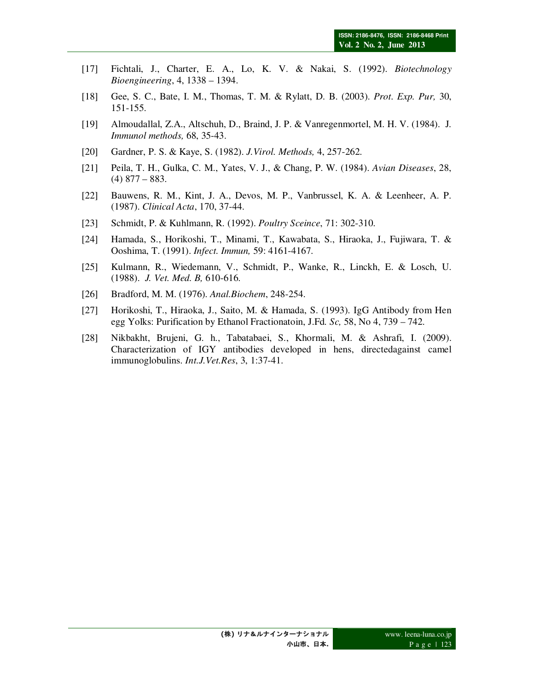- [17] Fichtali, J., Charter, E. A., Lo, K. V. & Nakai, S. (1992). *Biotechnology Bioengineering*, 4, 1338 – 1394.
- [18] Gee, S. C., Bate, I. M., Thomas, T. M. & Rylatt, D. B. (2003). *Prot. Exp. Pur,* 30, 151-155.
- [19] Almoudallal, Z.A., Altschuh, D., Braind, J. P. & Vanregenmortel, M. H. V. (1984). J*. Immunol methods,* 68, 35-43.
- [20] Gardner, P. S. & Kaye, S. (1982). *J.Virol. Methods,* 4, 257-262.
- [21] Peila, T. H., Gulka, C. M., Yates, V. J., & Chang, P. W. (1984). *Avian Diseases*, 28,  $(4)$  877 – 883.
- [22] Bauwens, R. M., Kint, J. A., Devos, M. P., Vanbrussel, K. A. & Leenheer, A. P. (1987). *Clinical Acta*, 170, 37-44.
- [23] Schmidt, P. & Kuhlmann, R. (1992). *Poultry Sceince*, 71: 302-310.
- [24] Hamada, S., Horikoshi, T., Minami, T., Kawabata, S., Hiraoka, J., Fujiwara, T. & Ooshima, T. (1991). *Infect. Immun,* 59: 4161-4167.
- [25] Kulmann, R., Wiedemann, V., Schmidt, P., Wanke, R., Linckh, E. & Losch, U. (1988). *J. Vet. Med. B,* 610-616.
- [26] Bradford, M. M. (1976). *Anal.Biochem*, 248-254.
- [27] Horikoshi, T., Hiraoka, J., Saito, M. & Hamada, S. (1993). IgG Antibody from Hen egg Yolks: Purification by Ethanol Fractionatoin, J.Fd*. Sc,* 58, No 4, 739 – 742.
- [28] Nikbakht, Brujeni, G. h., Tabatabaei, S., Khormali, M. & Ashrafi, I. (2009). Characterization of IGY antibodies developed in hens, directedagainst camel immunoglobulins. *Int.J.Vet.Res*, 3, 1:37-41.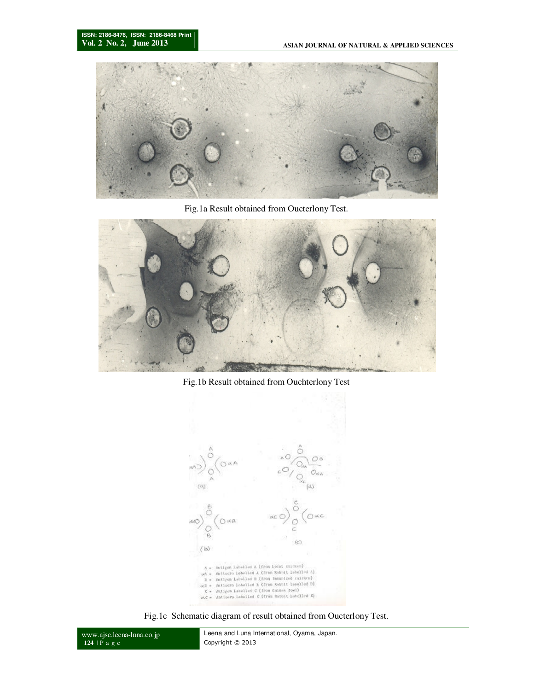

Fig.1a Result obtained from Oucterlony Test.



Fig.1b Result obtained from Ouchterlony Test



Fig.1c Schematic diagram of result obtained from Oucterlony Test.

www.ajsc.leena-luna.co.jp **124** | P a g e

Leena and Luna International, Oyama, Japan. Copyright © 2013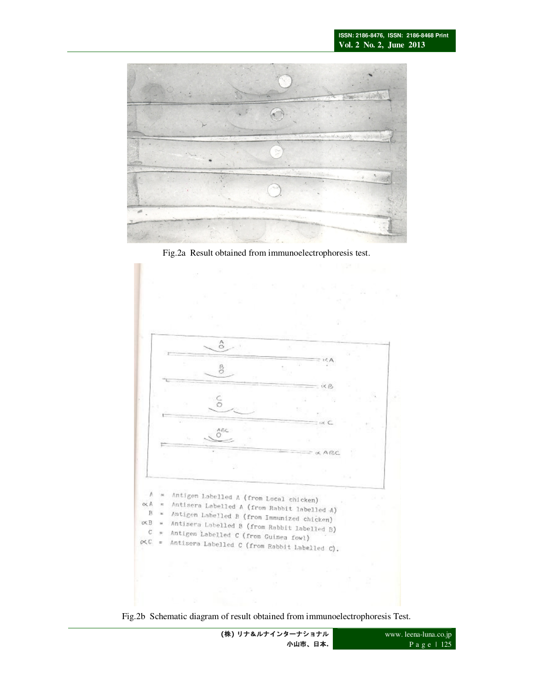

Fig.2a Result obtained from immunoelectrophoresis test.



Fig.2b Schematic diagram of result obtained from immunoelectrophoresis Test.

**(**株**)** リナ&ルナインターナショナル 小山市、日本**.**